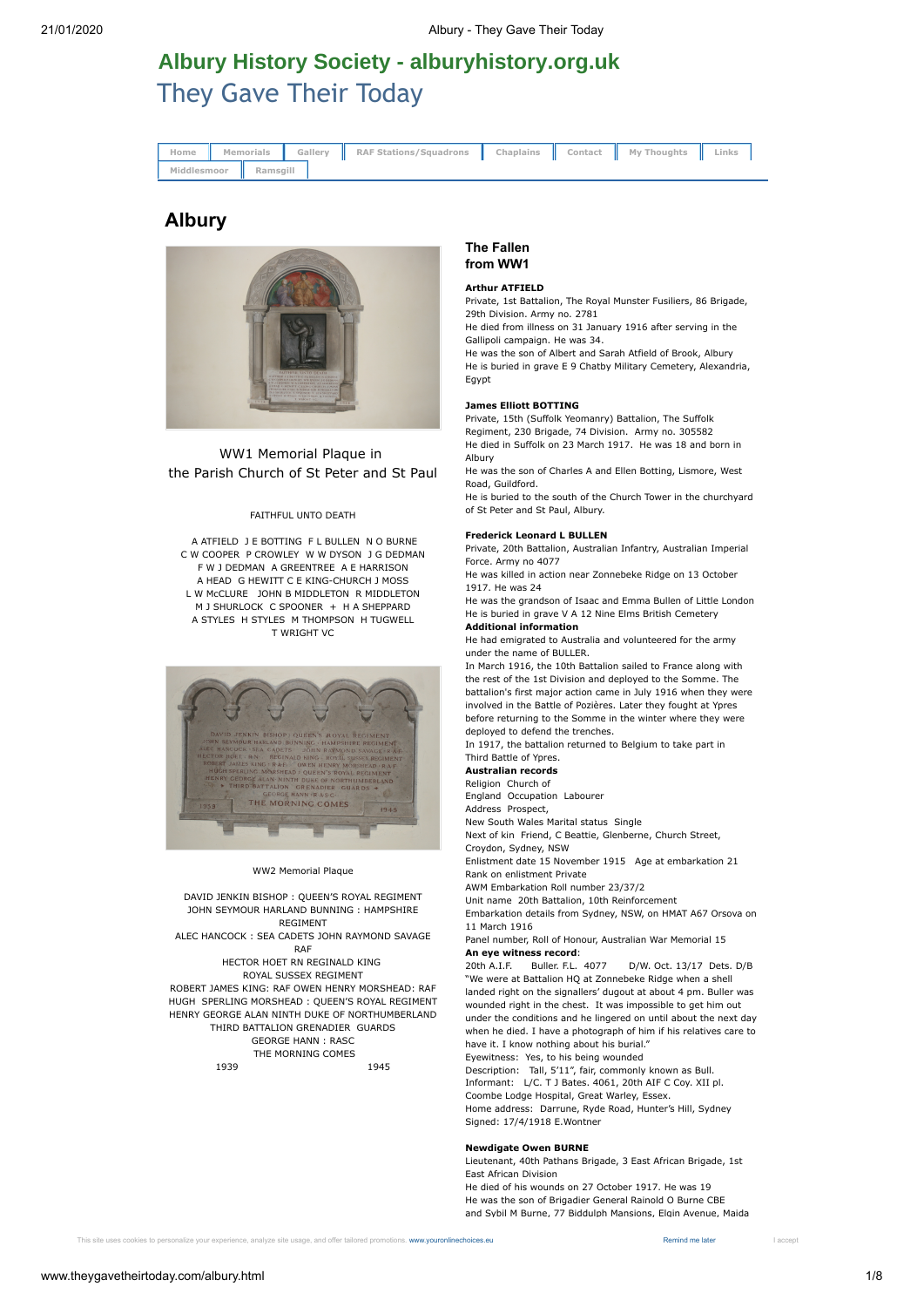# [They Gave Their Today](http://www.theygavetheirtoday.com/) **Albury History Society - [alburyhistory.org.uk](http://alburyhistory.org.uk)**

| Home        |  |                   | Memorials    Gallery    RAF Stations/Squadrons    Chaplains    Contact    My Thoughts    Links |  |  |  |
|-------------|--|-------------------|------------------------------------------------------------------------------------------------|--|--|--|
| Middlesmoor |  | <b>I</b> Ramsgill |                                                                                                |  |  |  |

# **Albury**



WW1 Memorial Plaque in the Parish Church of St Peter and St Paul

### FAITHFUL UNTO DEATH

 A ATFIELD J E BOTTING F L BULLEN N O BURNE C W COOPER P CROWLEY W W DYSON J G DEDMAN F W J DEDMAN A GREENTREE A E HARRISON A HEAD G HEWITT C E KING-CHURCH J MOSS L W McCLURE JOHN B MIDDLETON R MIDDLETON M J SHURLOCK C SPOONER + H A SHEPPARD A STYLES H STYLES M THOMPSON H TUGWELL T WRIGHT VC



#### WW2 Memorial Plaque

DAVID JENKIN BISHOP : QUEEN'S ROYAL REGIMENT JOHN SEYMOUR HARLAND BUNNING : HAMPSHIRE REGIMENT

ALEC HANCOCK : SEA CADETS JOHN RAYMOND SAVAGE RAF

HECTOR HOET RN REGINALD KING ROYAL SUSSEX REGIMENT ROBERT JAMES KING: RAF OWEN HENRY MORSHEAD: RAF HUGH SPERLING MORSHEAD : QUEEN'S ROYAL REGIMENT HENRY GEORGE ALAN NINTH DUKE OF NORTHUMBERLAND THIRD BATTALION GRENADIER GUARDS GEORGE HANN : RASC THE MORNING COMES 1939 1945

# **The Fallen from WW1**

#### **Arthur ATFIELD**

Private, 1st Battalion, The Royal Munster Fusiliers, 86 Brigade, 29th Division. Army no. 2781

He died from illness on 31 January 1916 after serving in the Gallipoli campaign. He was 34.

He was the son of Albert and Sarah Atfield of Brook, Albury He is buried in grave E 9 Chatby Military Cemetery, Alexandria, Egypt

### **James Elliott BOTTING**

Private, 15th (Suffolk Yeomanry) Battalion, The Suffolk Regiment, 230 Brigade, 74 Division. Army no. 305582 He died in Suffolk on 23 March 1917. He was 18 and born in

Albury He was the son of Charles A and Ellen Botting, Lismore, West

Road, Guildford. He is buried to the south of the Church Tower in the churchyard of St Peter and St Paul, Albury.

#### **Frederick Leonard L BULLEN**

Private, 20th Battalion, Australian Infantry, Australian Imperial Force. Army no 4077

He was killed in action near Zonnebeke Ridge on 13 October 1917. He was 24

He was the grandson of Isaac and Emma Bullen of Little London He is buried in grave V A 12 Nine Elms British Cemetery **Additional information**

He had emigrated to Australia and volunteered for the army under the name of BULLER.

In March 1916, the 10th Battalion sailed to France along with the rest of the 1st Division and deployed to the Somme. The battalion's first major action came in July 1916 when they were involved in the Battle of Pozières. Later they fought at Ypres before returning to the Somme in the winter where they were deployed to defend the trenches.

In 1917, the battalion returned to Belgium to take part in Third Battle of Ypres.

#### **Australian records**

Religion Church of

England Occupation Labourer

Address Prospect,

New South Wales Marital status Single

Next of kin Friend, C Beattie, Glenberne, Church Street, Croydon, Sydney, NSW

Enlistment date 15 November 1915 Age at embarkation 21 Rank on enlistment Private

AWM Embarkation Roll number 23/37/2

Unit name 20th Battalion, 10th Reinforcement

Embarkation details from Sydney, NSW, on HMAT A67 Orsova on 11 March 1916

Panel number, Roll of Honour, Australian War Memorial 15 **An eye witness record**:

20th A.I.F. Buller. F.L. 4077 D/W. Oct. 13/17 Dets. D/B "We were at Battalion HQ at Zonnebeke Ridge when a shell landed right on the signallers' dugout at about 4 pm. Buller was wounded right in the chest. It was impossible to get him out under the conditions and he lingered on until about the next day when he died. I have a photograph of him if his relatives care to

have it. I know nothing about his burial."

Eyewitness: Yes, to his being wounded

Description: Tall, 5'11", fair, commonly known as Bull. Informant: L/C. T J Bates. 4061, 20th AIF C Coy. XII pl.

Coombe Lodge Hospital, Great Warley, Essex.

Home address: Darrune, Ryde Road, Hunter's Hill, Sydney Signed: 17/4/1918 E.Wontner

#### **Newdigate Owen BURNE**

Lieutenant, 40th Pathans Brigade, 3 East African Brigade, 1st East African Division He died of his wounds on 27 October 1917. He was 19

He was the son of Brigadier General Rainold O Burne CBE and Sybil M Burne, 77 Biddulph Mansions, Elgin Avenue, Maida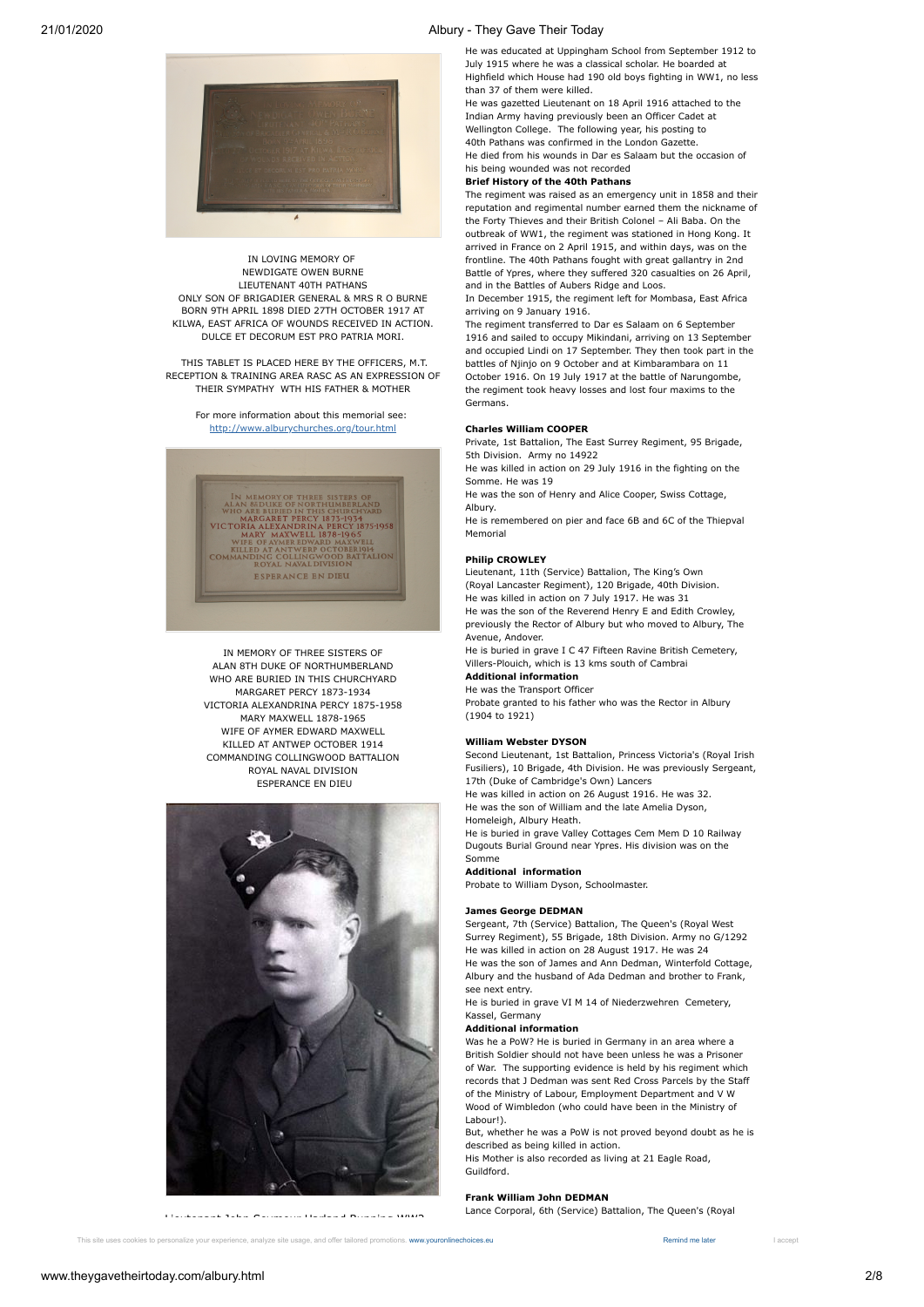

He was educated at Uppingham School from September 1912 to July 1915 where he was a classical scholar. He boarded at Highfield which House had 190 old boys fighting in WW1, no less than 37 of them were killed.

He was gazetted Lieutenant on 18 April 1916 attached to the Indian Army having previously been an Officer Cadet at Wellington College. The following year, his posting to 40th Pathans was confirmed in the London Gazette. He died from his wounds in Dar es Salaam but the occasion of his being wounded was not recorded

## **Brief History of the 40th Pathans**

The regiment was raised as an emergency unit in 1858 and their reputation and regimental number earned them the nickname of the Forty Thieves and their British Colonel – Ali Baba. On the outbreak of WW1, the regiment was stationed in Hong Kong. It arrived in France on 2 April 1915, and within days, was on the frontline. The 40th Pathans fought with great gallantry in 2nd Battle of Ypres, where they suffered 320 casualties on 26 April, and in the Battles of Aubers Ridge and Loos.

In December 1915, the regiment left for Mombasa, East Africa arriving on 9 January 1916.

The regiment transferred to Dar es Salaam on 6 September 1916 and sailed to occupy Mikindani, arriving on 13 September and occupied Lindi on 17 September. They then took part in the battles of Njinjo on 9 October and at Kimbarambara on 11 October 1916. On 19 July 1917 at the battle of Narungombe, the regiment took heavy losses and lost four maxims to the Germans.

#### **Charles William COOPER**

Private, 1st Battalion, The East Surrey Regiment, 95 Brigade, 5th Division. Army no 14922

He was killed in action on 29 July 1916 in the fighting on the Somme. He was 19

He was the son of Henry and Alice Cooper, Swiss Cottage, Albury.

He is remembered on pier and face 6B and 6C of the Thiepval Memorial

#### **Philip CROWLEY**

Lieutenant, 11th (Service) Battalion, The King's Own (Royal Lancaster Regiment), 120 Brigade, 40th Division. He was killed in action on 7 July 1917. He was 31 He was the son of the Reverend Henry E and Edith Crowley, previously the Rector of Albury but who moved to Albury, The Avenue, Andover.

He is buried in grave I C 47 Fifteen Ravine British Cemetery, Villers-Plouich, which is 13 kms south of Cambrai

# **Additional information**

He was the Transport Officer

Probate granted to his father who was the Rector in Albury (1904 to 1921)

#### **William Webster DYSON**

Second Lieutenant, 1st Battalion, Princess Victoria's (Royal Irish Fusiliers), 10 Brigade, 4th Division. He was previously Sergeant, 17th (Duke of Cambridge's Own) Lancers

He was killed in action on 26 August 1916. He was 32. He was the son of William and the late Amelia Dyson, Homeleigh, Albury Heath.

He is buried in grave Valley Cottages Cem Mem D 10 Railway Dugouts Burial Ground near Ypres. His division was on the

#### Somme **Additional information**

Probate to William Dyson, Schoolmaster.

# **James George DEDMAN**

Sergeant, 7th (Service) Battalion, The Queen's (Royal West Surrey Regiment), 55 Brigade, 18th Division. Army no G/1292 He was killed in action on 28 August 1917. He was 24 He was the son of James and Ann Dedman, Winterfold Cottage, Albury and the husband of Ada Dedman and brother to Frank, see next entry.

He is buried in grave VI M 14 of Niederzwehren Cemetery, Kassel, Germany

#### **Additional information**

Was he a PoW? He is buried in Germany in an area where a British Soldier should not have been unless he was a Prisoner of War. The supporting evidence is held by his regiment which records that J Dedman was sent Red Cross Parcels by the Staff of the Ministry of Labour, Employment Department and V W Wood of Wimbledon (who could have been in the Ministry of Labour!).

But, whether he was a PoW is not proved beyond doubt as he is described as being killed in action. His Mother is also recorded as living at 21 Eagle Road,

Guildford.

### **Frank William John DEDMAN**

Lance Corporal, 6th (Service) Battalion, The Queen's (Royal



IN LOVING MEMORY OF NEWDIGATE OWEN BURNE LIEUTENANT 40TH PATHANS ONLY SON OF BRIGADIER GENERAL & MRS R O BURNE BORN 9TH APRIL 1898 DIED 27TH OCTOBER 1917 AT KILWA, EAST AFRICA OF WOUNDS RECEIVED IN ACTION. DULCE ET DECORUM EST PRO PATRIA MORI.

 THIS TABLET IS PLACED HERE BY THE OFFICERS, M.T. RECEPTION & TRAINING AREA RASC AS AN EXPRESSION OF THEIR SYMPATHY WTH HIS FATHER & MOTHER

For more information about this memorial see: <http://www.alburychurches.org/tour.html>



IN MEMORY OF THREE SISTERS OF ALAN 8TH DUKE OF NORTHUMBERLAND WHO ARE BURIED IN THIS CHURCHYARD MARGARET PERCY 1873-1934 VICTORIA ALEXANDRINA PERCY 1875-1958 MARY MAXWELL 1878-1965 WIFE OF AYMER EDWARD MAXWELL KILLED AT ANTWEP OCTOBER 1914 COMMANDING COLLINGWOOD BATTALION ROYAL NAVAL DIVISION ESPERANCE EN DIEU



Lieutenant John Seymour Harland Bunning WW2

This site uses cookies to personalize your experience, analyze site usage, and offer tailored promotions. [www.youronlinechoices.eu](https://www.youronlinechoices.eu/) Remind me Inter Remind me later I accept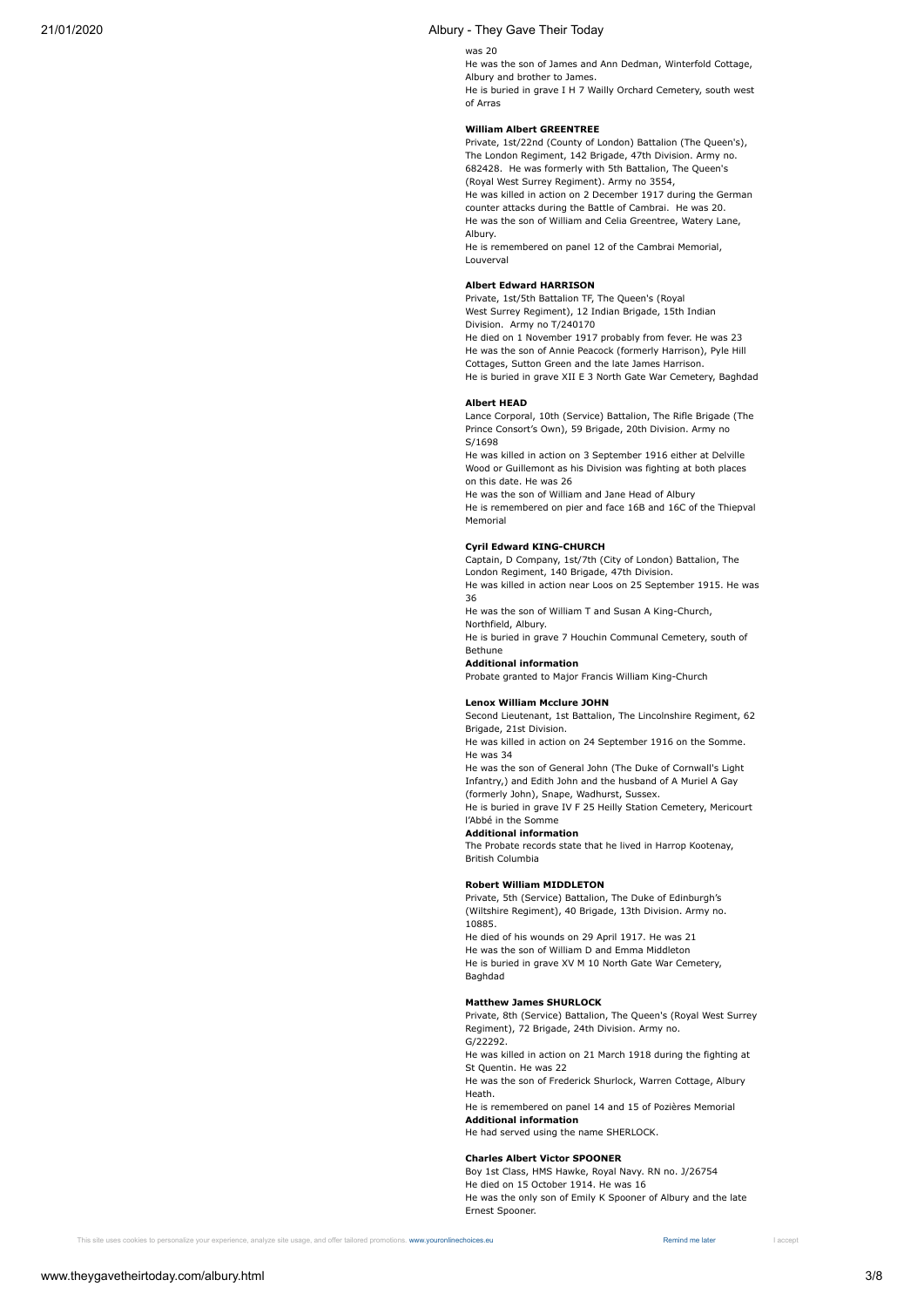#### was 20

He was the son of James and Ann Dedman, Winterfold Cottage, Albury and brother to James.

He is buried in grave I H 7 Wailly Orchard Cemetery, south west of Arras

#### **William Albert GREENTREE**

Private, 1st/22nd (County of London) Battalion (The Queen's), The London Regiment, 142 Brigade, 47th Division. Army no. 682428. He was formerly with 5th Battalion, The Queen's (Royal West Surrey Regiment). Army no 3554, He was killed in action on 2 December 1917 during the German counter attacks during the Battle of Cambrai. He was 20. He was the son of William and Celia Greentree, Watery Lane,

Albury. He is remembered on panel 12 of the Cambrai Memorial, Louverval

#### **Albert Edward HARRISON**

Private, 1st/5th Battalion TF, The Queen's (Royal West Surrey Regiment), 12 Indian Brigade, 15th Indian Division. Army no T/240170

He died on 1 November 1917 probably from fever. He was 23 He was the son of Annie Peacock (formerly Harrison), Pyle Hill Cottages, Sutton Green and the late James Harrison. He is buried in grave XII E 3 North Gate War Cemetery, Baghdad

# **Albert HEAD**

Lance Corporal, 10th (Service) Battalion, The Rifle Brigade (The Prince Consort's Own), 59 Brigade, 20th Division. Army no S/1698

He was killed in action on 3 September 1916 either at Delville Wood or Guillemont as his Division was fighting at both places on this date. He was 26

He was the son of William and Jane Head of Albury

He is remembered on pier and face 16B and 16C of the Thiepval Memorial

#### **Cyril Edward KING-CHURCH**

Captain, D Company, 1st/7th (City of London) Battalion, The London Regiment, 140 Brigade, 47th Division.

He was killed in action near Loos on 25 September 1915. He was 36

He was the son of William T and Susan A King-Church, Northfield, Albury.

He is buried in grave 7 Houchin Communal Cemetery, south of Bethune

# **Additional information**

Probate granted to Major Francis William King-Church

#### **Lenox William Mcclure JOHN**

Second Lieutenant, 1st Battalion, The Lincolnshire Regiment, 62 Brigade, 21st Division.

He was killed in action on 24 September 1916 on the Somme. He was 34

He was the son of General John (The Duke of Cornwall's Light Infantry,) and Edith John and the husband of A Muriel A Gay (formerly John), Snape, Wadhurst, Sussex.

He is buried in grave IV F 25 Heilly Station Cemetery, Mericourt l'Abbé in the Somme

### **Additional information**

The Probate records state that he lived in Harrop Kootenay, British Columbia

### **Robert William MIDDLETON**

Private, 5th (Service) Battalion, The Duke of Edinburgh's (Wiltshire Regiment), 40 Brigade, 13th Division. Army no. 10885. He died of his wounds on 29 April 1917. He was 21

He was the son of William D and Emma Middleton He is buried in grave XV M 10 North Gate War Cemetery, Baghdad

#### **Matthew James SHURLOCK**

Private, 8th (Service) Battalion, The Queen's (Royal West Surrey Regiment), 72 Brigade, 24th Division. Army no. G/22292.

He was killed in action on 21 March 1918 during the fighting at St Quentin. He was 22

He was the son of Frederick Shurlock, Warren Cottage, Albury Heath.

He is remembered on panel 14 and 15 of Pozières Memorial **Additional information**

He had served using the name SHERLOCK.

### **Charles Albert Victor SPOONER**

Boy 1st Class, HMS Hawke, Royal Navy. RN no. J/26754 He died on 15 October 1914. He was 16 He was the only son of Emily K Spooner of Albury and the late Ernest Spooner.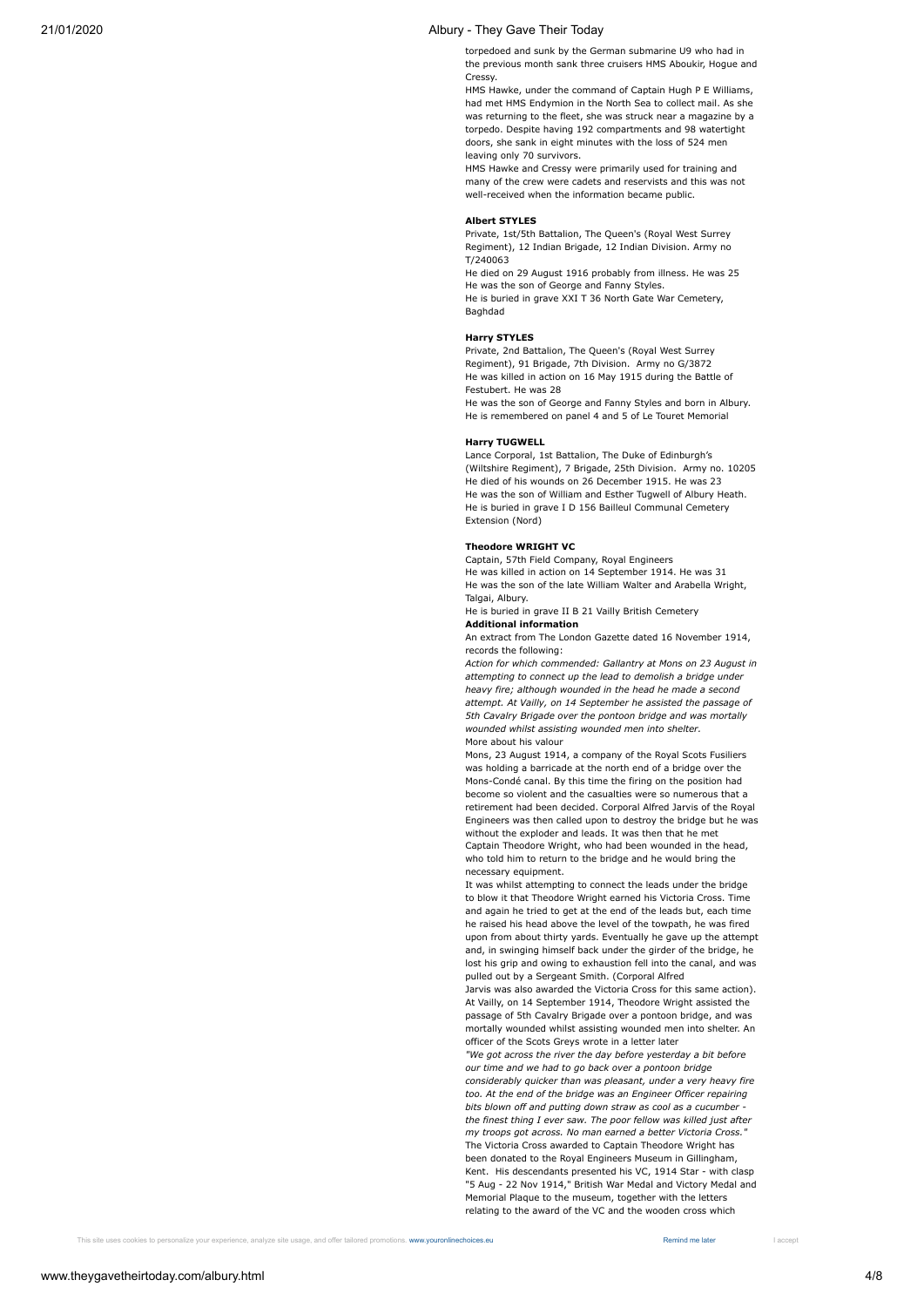torpedoed and sunk by the German submarine U9 who had in the previous month sank three cruisers HMS Aboukir, Hogue and Cressy.

HMS Hawke, under the command of Captain Hugh P E Williams, had met HMS Endymion in the North Sea to collect mail. As she was returning to the fleet, she was struck near a magazine by a torpedo. Despite having 192 compartments and 98 watertight doors, she sank in eight minutes with the loss of 524 men leaving only 70 survivors.

HMS Hawke and Cressy were primarily used for training and many of the crew were cadets and reservists and this was not well-received when the information became public.

#### **Albert STYLES**

Private, 1st/5th Battalion, The Queen's (Royal West Surrey Regiment), 12 Indian Brigade, 12 Indian Division. Army no T/240063

He died on 29 August 1916 probably from illness. He was 25 He was the son of George and Fanny Styles. He is buried in grave XXI T 36 North Gate War Cemetery, Baghdad

#### **Harry STYLES**

Private, 2nd Battalion, The Queen's (Royal West Surrey Regiment), 91 Brigade, 7th Division. Army no G/3872 He was killed in action on 16 May 1915 during the Battle of Festubert. He was 28

He was the son of George and Fanny Styles and born in Albury. He is remembered on panel 4 and 5 of Le Touret Memorial

#### **Harry TUGWELL**

Lance Corporal, 1st Battalion, The Duke of Edinburgh's (Wiltshire Regiment), 7 Brigade, 25th Division. Army no. 10205 He died of his wounds on 26 December 1915. He was 23 He was the son of William and Esther Tugwell of Albury Heath. He is buried in grave I D 156 Bailleul Communal Cemetery Extension (Nord)

#### **Theodore WRIGHT VC**

Captain, 57th Field Company, Royal Engineers He was killed in action on 14 September 1914. He was 31 He was the son of the late William Walter and Arabella Wright, Talgai, Albury.

He is buried in grave II B 21 Vailly British Cemetery **Additional information**

An extract from The London Gazette dated 16 November 1914, records the following:

More about his valour *Action for which commended: Gallantry at Mons on 23 August in attempting to connect up the lead to demolish a bridge under heavy fire; although wounded in the head he made a second attempt. At Vailly, on 14 September he assisted the passage of 5th Cavalry Brigade over the pontoon bridge and was mortally wounded whilst assisting wounded men into shelter.*

Mons, 23 August 1914, a company of the Royal Scots Fusiliers was holding a barricade at the north end of a bridge over the Mons-Condé canal. By this time the firing on the position had become so violent and the casualties were so numerous that a retirement had been decided. Corporal Alfred Jarvis of the Royal Engineers was then called upon to destroy the bridge but he was without the exploder and leads. It was then that he met

Captain Theodore Wright, who had been wounded in the head, who told him to return to the bridge and he would bring the necessary equipment.

It was whilst attempting to connect the leads under the bridge to blow it that Theodore Wright earned his Victoria Cross. Time and again he tried to get at the end of the leads but, each time he raised his head above the level of the towpath, he was fired upon from about thirty yards. Eventually he gave up the attempt and, in swinging himself back under the girder of the bridge, he lost his grip and owing to exhaustion fell into the canal, and was pulled out by a Sergeant Smith. (Corporal Alfred

Jarvis was also awarded the Victoria Cross for this same action). At Vailly, on 14 September 1914, Theodore Wright assisted the passage of 5th Cavalry Brigade over a pontoon bridge, and was mortally wounded whilst assisting wounded men into shelter. An officer of the Scots Greys wrote in a letter later

The Victoria Cross awarded to Captain Theodore Wright has been donated to the Royal Engineers Museum in Gillingham, Kent. His descendants presented his VC, 1914 Star - with clasp "5 Aug - 22 Nov 1914," British War Medal and Victory Medal and Memorial Plaque to the museum, together with the letters relating to the award of the VC and the wooden cross which *"We got across the river the day before yesterday a bit before our time and we had to go back over a pontoon bridge considerably quicker than was pleasant, under a very heavy fire too. At the end of the bridge was an Engineer Officer repairing bits blown off and putting down straw as cool as a cucumber the finest thing I ever saw. The poor fellow was killed just after my troops got across. No man earned a better Victoria Cross."*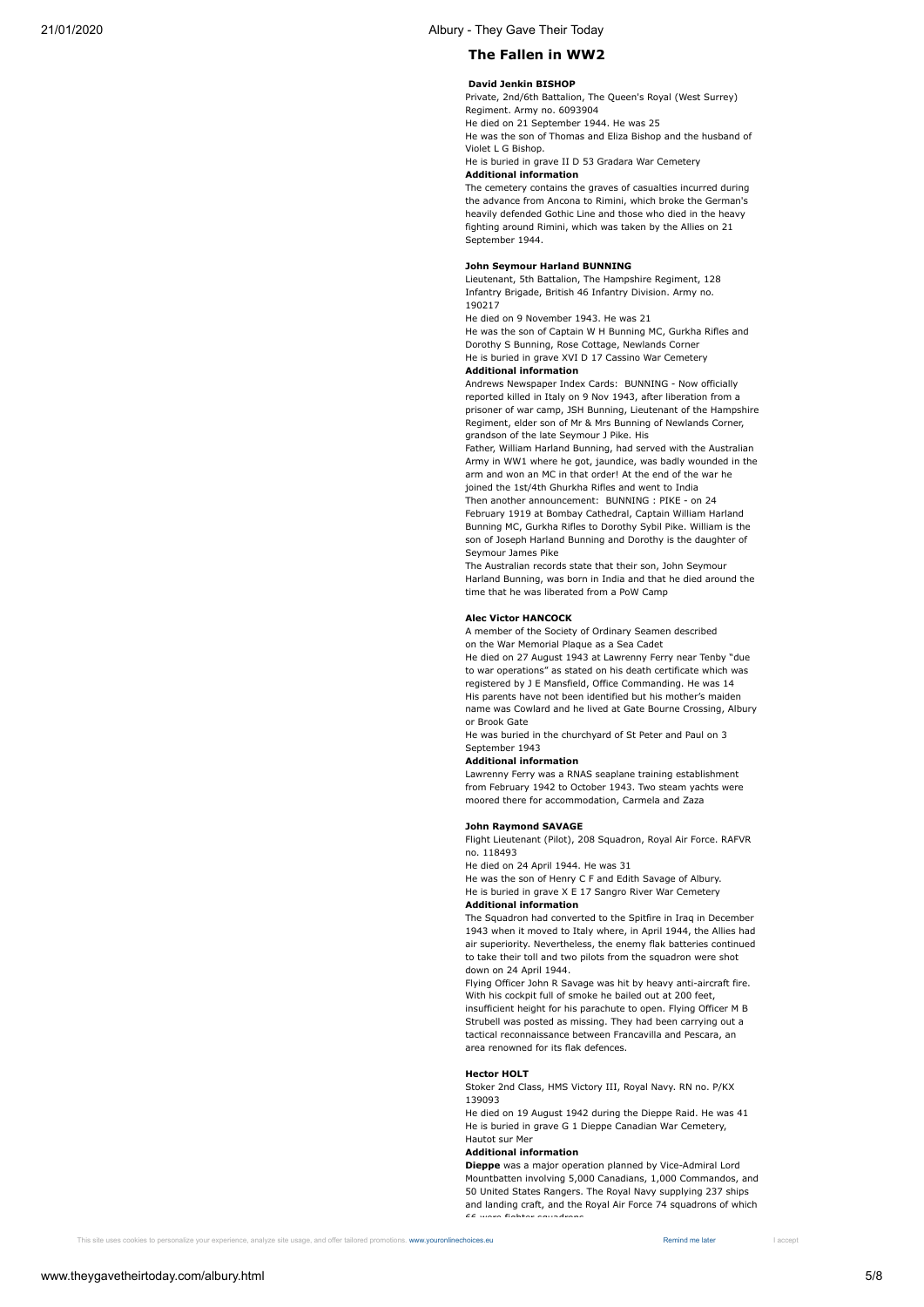# **The Fallen in WW2**

### **David Jenkin BISHOP**

Private, 2nd/6th Battalion, The Queen's Royal (West Surrey) Regiment. Army no. 6093904

He died on 21 September 1944. He was 25 He was the son of Thomas and Eliza Bishop and the husband of Violet L G Bishop.

# He is buried in grave II D 53 Gradara War Cemetery

**Additional information**

The cemetery contains the graves of casualties incurred during the advance from Ancona to Rimini, which broke the German's heavily defended Gothic Line and those who died in the heavy fighting around Rimini, which was taken by the Allies on 21 September 1944.

### **John Seymour Harland BUNNING**

Lieutenant, 5th Battalion, The Hampshire Regiment, 128 Infantry Brigade, British 46 Infantry Division. Army no. 190217

He died on 9 November 1943. He was 21

He was the son of Captain W H Bunning MC, Gurkha Rifles and Dorothy S Bunning, Rose Cottage, Newlands Corner He is buried in grave XVI D 17 Cassino War Cemetery

# **Additional information**

Andrews Newspaper Index Cards: BUNNING - Now officially reported killed in Italy on 9 Nov 1943, after liberation from a prisoner of war camp, JSH Bunning, Lieutenant of the Hampshire Regiment, elder son of Mr & Mrs Bunning of Newlands Corner, grandson of the late Seymour J Pike. His

Father, William Harland Bunning, had served with the Australian Army in WW1 where he got, jaundice, was badly wounded in the arm and won an MC in that order! At the end of the war he joined the 1st/4th Ghurkha Rifles and went to India

Then another announcement: BUNNING : PIKE - on 24 February 1919 at Bombay Cathedral, Captain William Harland Bunning MC, Gurkha Rifles to Dorothy Sybil Pike. William is the son of Joseph Harland Bunning and Dorothy is the daughter of Seymour James Pike

The Australian records state that their son, John Seymour Harland Bunning, was born in India and that he died around the time that he was liberated from a PoW Camp

#### **Alec Victor HANCOCK**

A member of the Society of Ordinary Seamen described on the War Memorial Plaque as a Sea Cadet

He died on 27 August 1943 at Lawrenny Ferry near Tenby "due to war operations" as stated on his death certificate which was registered by J E Mansfield, Office Commanding. He was 14 His parents have not been identified but his mother's maiden name was Cowlard and he lived at Gate Bourne Crossing, Albury or Brook Gate

He was buried in the churchyard of St Peter and Paul on 3 September 1943

# **Additional information**

Lawrenny Ferry was a RNAS seaplane training establishment from February 1942 to October 1943. Two steam yachts were moored there for accommodation, Carmela and Zaza

#### **John Raymond SAVAGE**

Flight Lieutenant (Pilot), 208 Squadron, Royal Air Force. RAFVR no. 118493

He died on 24 April 1944. He was 31

He was the son of Henry C F and Edith Savage of Albury. He is buried in grave X E 17 Sangro River War Cemetery **Additional information**

The Squadron had converted to the Spitfire in Iraq in December 1943 when it moved to Italy where, in April 1944, the Allies had air superiority. Nevertheless, the enemy flak batteries continued to take their toll and two pilots from the squadron were shot down on 24 April 1944.

Flying Officer John R Savage was hit by heavy anti-aircraft fire. With his cockpit full of smoke he bailed out at 200 feet.

insufficient height for his parachute to open. Flying Officer M B Strubell was posted as missing. They had been carrying out a tactical reconnaissance between Francavilla and Pescara, an area renowned for its flak defences.

#### **Hector HOLT**

Stoker 2nd Class, HMS Victory III, Royal Navy. RN no. P/KX 139093

He died on 19 August 1942 during the Dieppe Raid. He was 41 He is buried in grave G 1 Dieppe Canadian War Cemetery, Hautot sur Mer

#### **Additional information**

**Dieppe** was a major operation planned by Vice-Admiral Lord Mountbatten involving 5,000 Canadians, 1,000 Commandos, and 50 United States Rangers. The Royal Navy supplying 237 ships and landing craft, and the Royal Air Force 74 squadrons of which 66 were fighter squadrons.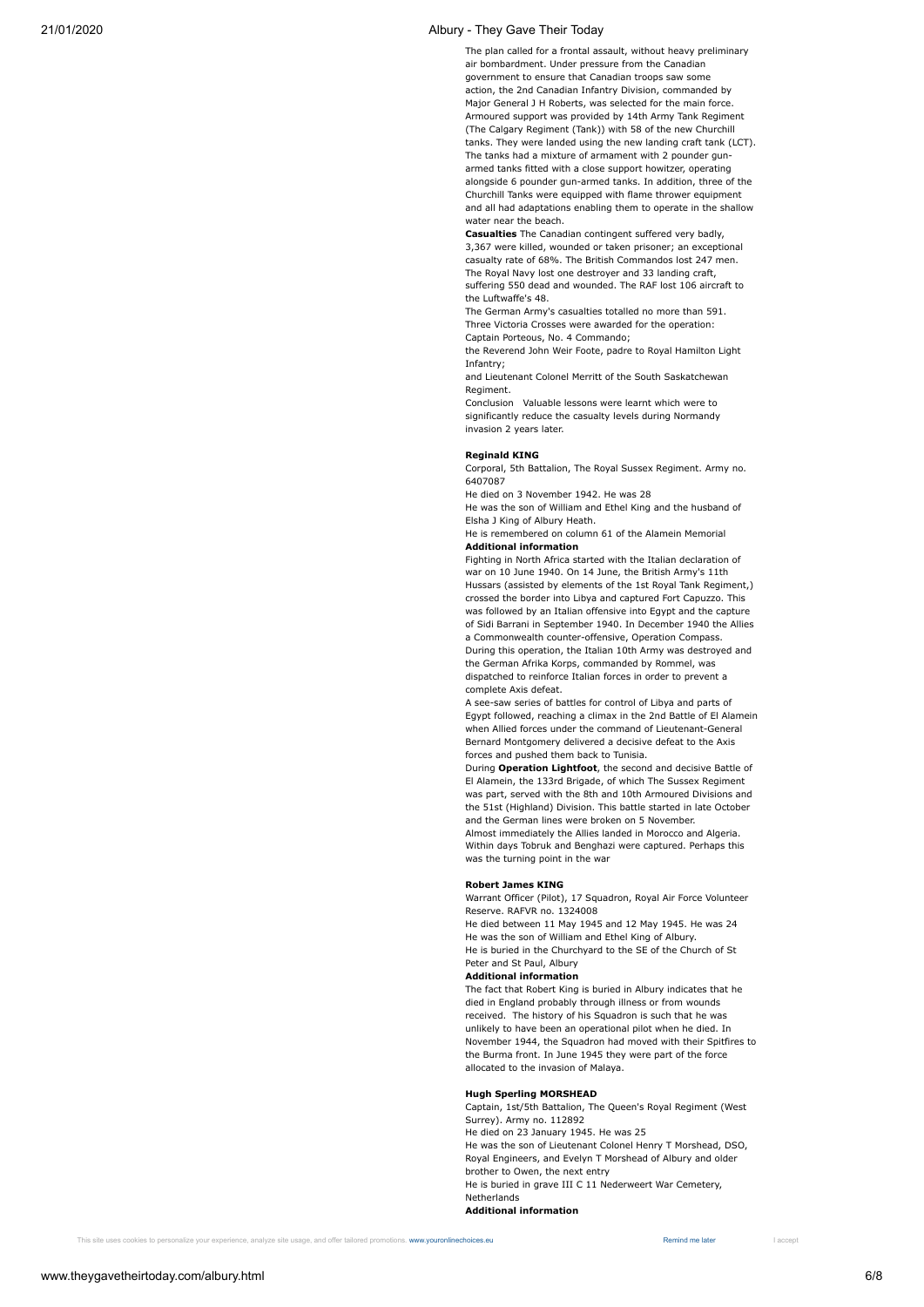The plan called for a frontal assault, without heavy preliminary air bombardment. Under pressure from the Canadian government to ensure that Canadian troops saw some action, the 2nd Canadian Infantry Division, commanded by Major General J H Roberts, was selected for the main force. Armoured support was provided by 14th Army Tank Regiment (The Calgary Regiment (Tank)) with 58 of the new Churchill tanks. They were landed using the new landing craft tank (LCT). The tanks had a mixture of armament with 2 pounder gunarmed tanks fitted with a close support howitzer, operating alongside 6 pounder gun-armed tanks. In addition, three of the Churchill Tanks were equipped with flame thrower equipment and all had adaptations enabling them to operate in the shallow water near the beach.

**Casualties** The Canadian contingent suffered very badly, 3,367 were killed, wounded or taken prisoner; an exceptional casualty rate of 68%. The British Commandos lost 247 men. The Royal Navy lost one destroyer and 33 landing craft, suffering 550 dead and wounded. The RAF lost 106 aircraft to the Luftwaffe's 48.

The German Army's casualties totalled no more than 591. Three Victoria Crosses were awarded for the operation:

Captain Porteous, No. 4 Commando;

the Reverend John Weir Foote, padre to Royal Hamilton Light Infantry;

and Lieutenant Colonel Merritt of the South Saskatchewan Regiment.

Conclusion Valuable lessons were learnt which were to significantly reduce the casualty levels during Normandy invasion 2 years later.

#### **Reginald KING**

Corporal, 5th Battalion, The Royal Sussex Regiment. Army no. 6407087

He died on 3 November 1942. He was 28

He was the son of William and Ethel King and the husband of Elsha J King of Albury Heath.

He is remembered on column 61 of the Alamein Memorial **Additional information**

Fighting in North Africa started with the Italian declaration of war on 10 June 1940. On 14 June, the British Army's 11th Hussars (assisted by elements of the 1st Royal Tank Regiment,) crossed the border into Libya and captured Fort Capuzzo. This was followed by an Italian offensive into Egypt and the capture of Sidi Barrani in September 1940. In December 1940 the Allies a Commonwealth counter-offensive, Operation Compass. During this operation, the Italian 10th Army was destroyed and the German Afrika Korps, commanded by Rommel, was dispatched to reinforce Italian forces in order to prevent a complete Axis defeat.

A see-saw series of battles for control of Libya and parts of Egypt followed, reaching a climax in the 2nd Battle of El Alamein when Allied forces under the command of Lieutenant-General Bernard Montgomery delivered a decisive defeat to the Axis forces and pushed them back to Tunisia.

During **Operation Lightfoot**, the second and decisive Battle of El Alamein, the 133rd Brigade, of which The Sussex Regiment was part, served with the 8th and 10th Armoured Divisions and the 51st (Highland) Division. This battle started in late October and the German lines were broken on 5 November. Almost immediately the Allies landed in Morocco and Algeria. Within days Tobruk and Benghazi were captured. Perhaps this

**Robert James KING**

was the turning point in the war

Warrant Officer (Pilot), 17 Squadron, Royal Air Force Volunteer Reserve. RAFVR no. 1324008

He died between 11 May 1945 and 12 May 1945. He was 24 He was the son of William and Ethel King of Albury. He is buried in the Churchyard to the SE of the Church of St Peter and St Paul, Albury

# **Additional information**

The fact that Robert King is buried in Albury indicates that he died in England probably through illness or from wounds received. The history of his Squadron is such that he was unlikely to have been an operational pilot when he died. In November 1944, the Squadron had moved with their Spitfires to the Burma front. In June 1945 they were part of the force allocated to the invasion of Malaya.

# **Hugh Sperling MORSHEAD**

Captain, 1st/5th Battalion, The Queen's Royal Regiment (West Surrey). Army no. 112892 He died on 23 January 1945. He was 25 He was the son of Lieutenant Colonel Henry T Morshead, DSO, Royal Engineers, and Evelyn T Morshead of Albury and older brother to Owen, the next entry He is buried in grave III C 11 Nederweert War Cemetery, Netherlands **Additional information**

Remind me later

This site uses cookies to personalize your experience, analyze site usage, and offer tailored promotions. [www.youronlinechoices.eu](https://www.youronlinechoices.eu/) Remind me later Remind me later I accept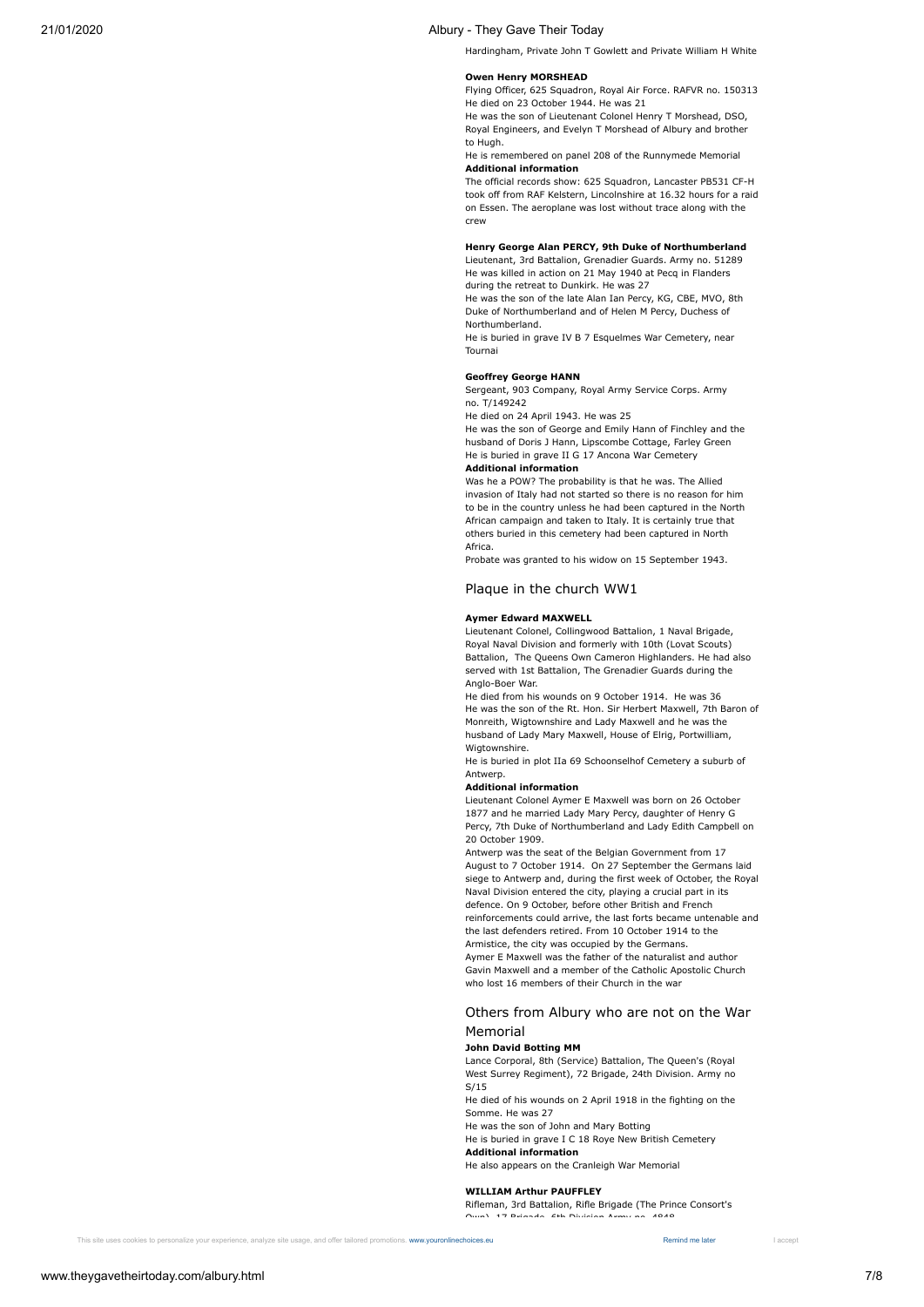Hardingham, Private John T Gowlett and Private William H White

### **Owen Henry MORSHEAD**

Flying Officer, 625 Squadron, Royal Air Force. RAFVR no. 150313 He died on 23 October 1944. He was 21

He was the son of Lieutenant Colonel Henry T Morshead, DSO, Royal Engineers, and Evelyn T Morshead of Albury and brother to Hugh.

#### He is remembered on panel 208 of the Runnymede Memorial **Additional information**

The official records show: 625 Squadron, Lancaster PB531 CF-H took off from RAF Kelstern, Lincolnshire at 16.32 hours for a raid on Essen. The aeroplane was lost without trace along with the crew

#### **Henry George Alan PERCY, 9th Duke of Northumberland**

Lieutenant, 3rd Battalion, Grenadier Guards. Army no. 51289 He was killed in action on 21 May 1940 at Pecq in Flanders during the retreat to Dunkirk. He was 27

He was the son of the late Alan Ian Percy, KG, CBE, MVO, 8th Duke of Northumberland and of Helen M Percy, Duchess of Northumberland.

He is buried in grave IV B 7 Esquelmes War Cemetery, near Tournai

#### **Geoffrey George HANN**

Sergeant, 903 Company, Royal Army Service Corps. Army no. T/149242

He died on 24 April 1943. He was 25

He was the son of George and Emily Hann of Finchley and the husband of Doris J Hann, Lipscombe Cottage, Farley Green He is buried in grave II G 17 Ancona War Cemetery

#### **Additional information**

Was he a POW? The probability is that he was. The Allied invasion of Italy had not started so there is no reason for him to be in the country unless he had been captured in the North African campaign and taken to Italy. It is certainly true that others buried in this cemetery had been captured in North Africa.

Probate was granted to his widow on 15 September 1943.

### Plaque in the church WW1

#### **Aymer Edward MAXWELL**

Lieutenant Colonel, Collingwood Battalion, 1 Naval Brigade, Royal Naval Division and formerly with 10th (Lovat Scouts) Battalion, The Queens Own Cameron Highlanders. He had also served with 1st Battalion, The Grenadier Guards during the Anglo-Boer War.

He died from his wounds on 9 October 1914. He was 36 He was the son of the Rt. Hon. Sir Herbert Maxwell, 7th Baron of Monreith, Wigtownshire and Lady Maxwell and he was the husband of Lady Mary Maxwell, House of Elrig, Portwilliam, Wigtownshire.

He is buried in plot IIa 69 Schoonselhof Cemetery a suburb of Antwerp.

#### **Additional information**

Lieutenant Colonel Aymer E Maxwell was born on 26 October 1877 and he married Lady Mary Percy, daughter of Henry G Percy, 7th Duke of Northumberland and Lady Edith Campbell on 20 October 1909.

Antwerp was the seat of the Belgian Government from 17 August to 7 October 1914. On 27 September the Germans laid siege to Antwerp and, during the first week of October, the Royal Naval Division entered the city, playing a crucial part in its defence. On 9 October, before other British and French reinforcements could arrive, the last forts became untenable and the last defenders retired. From 10 October 1914 to the Armistice, the city was occupied by the Germans. Aymer E Maxwell was the father of the naturalist and author Gavin Maxwell and a member of the Catholic Apostolic Church who lost 16 members of their Church in the war

# Others from Albury who are not on the War Memorial

#### **John David Botting MM**

Lance Corporal, 8th (Service) Battalion, The Queen's (Royal West Surrey Regiment), 72 Brigade, 24th Division. Army no S/15

He died of his wounds on 2 April 1918 in the fighting on the Somme. He was 27

He was the son of John and Mary Botting

He is buried in grave I C 18 Roye New British Cemetery **Additional information**

He also appears on the Cranleigh War Memorial

**WILLIAM Arthur PAUFFLEY**

Rifleman, 3rd Battalion, Rifle Brigade (The Prince Consort's Own), 17 Brigade, 6th Division Army no. 4848

This site uses cookies to personalize your experience, analyze site usage, and offer tailored promotions. [www.youronlinechoices.eu](https://www.youronlinechoices.eu/) Remind me later Remind me later I accept

www.theygavetheirtoday.com/albury.html 7/8